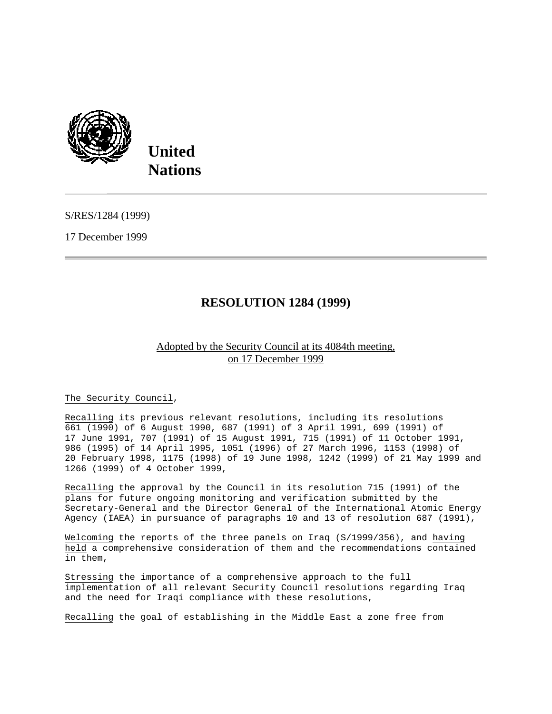

**United Nations**

S/RES/1284 (1999)

17 December 1999

## **RESOLUTION 1284 (1999)**

Adopted by the Security Council at its 4084th meeting, on 17 December 1999

The Security Council,

Recalling its previous relevant resolutions, including its resolutions 661 (1990) of 6 August 1990, 687 (1991) of 3 April 1991, 699 (1991) of 17 June 1991, 707 (1991) of 15 August 1991, 715 (1991) of 11 October 1991, 986 (1995) of 14 April 1995, 1051 (1996) of 27 March 1996, 1153 (1998) of 20 February 1998, 1175 (1998) of 19 June 1998, 1242 (1999) of 21 May 1999 and 1266 (1999) of 4 October 1999,

Recalling the approval by the Council in its resolution 715 (1991) of the plans for future ongoing monitoring and verification submitted by the Secretary-General and the Director General of the International Atomic Energy Agency (IAEA) in pursuance of paragraphs 10 and 13 of resolution 687 (1991),

Welcoming the reports of the three panels on Iraq (S/1999/356), and having held a comprehensive consideration of them and the recommendations contained in them,

Stressing the importance of a comprehensive approach to the full implementation of all relevant Security Council resolutions regarding Iraq and the need for Iraqi compliance with these resolutions,

Recalling the goal of establishing in the Middle East a zone free from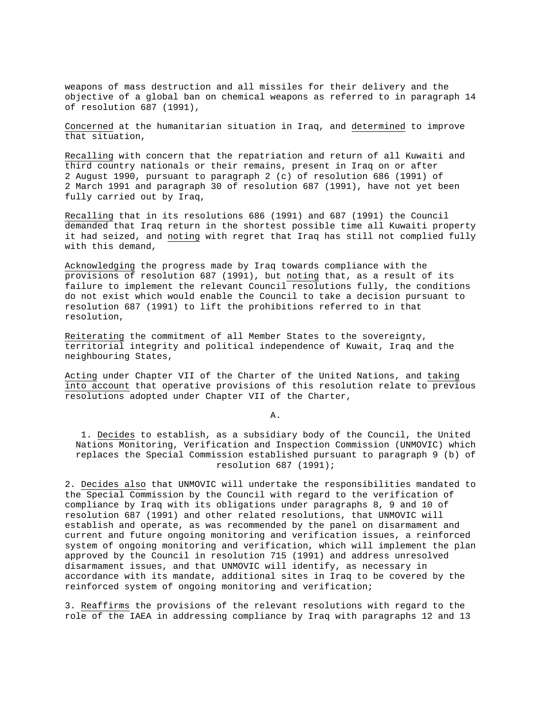weapons of mass destruction and all missiles for their delivery and the objective of a global ban on chemical weapons as referred to in paragraph 14 of resolution 687 (1991),

Concerned at the humanitarian situation in Iraq, and determined to improve that situation,

Recalling with concern that the repatriation and return of all Kuwaiti and third country nationals or their remains, present in Iraq on or after 2 August 1990, pursuant to paragraph 2 (c) of resolution 686 (1991) of 2 March 1991 and paragraph 30 of resolution 687 (1991), have not yet been fully carried out by Iraq,

Recalling that in its resolutions 686 (1991) and 687 (1991) the Council demanded that Iraq return in the shortest possible time all Kuwaiti property it had seized, and noting with regret that Iraq has still not complied fully with this demand,

Acknowledging the progress made by Iraq towards compliance with the provisions of resolution 687 (1991), but noting that, as a result of its failure to implement the relevant Council resolutions fully, the conditions do not exist which would enable the Council to take a decision pursuant to resolution 687 (1991) to lift the prohibitions referred to in that resolution,

Reiterating the commitment of all Member States to the sovereignty, territorial integrity and political independence of Kuwait, Iraq and the neighbouring States,

Acting under Chapter VII of the Charter of the United Nations, and taking into account that operative provisions of this resolution relate to previous resolutions adopted under Chapter VII of the Charter,

A.

1. Decides to establish, as a subsidiary body of the Council, the United Nations Monitoring, Verification and Inspection Commission (UNMOVIC) which replaces the Special Commission established pursuant to paragraph 9 (b) of resolution 687 (1991);

2. Decides also that UNMOVIC will undertake the responsibilities mandated to the Special Commission by the Council with regard to the verification of compliance by Iraq with its obligations under paragraphs 8, 9 and 10 of resolution 687 (1991) and other related resolutions, that UNMOVIC will establish and operate, as was recommended by the panel on disarmament and current and future ongoing monitoring and verification issues, a reinforced system of ongoing monitoring and verification, which will implement the plan approved by the Council in resolution 715 (1991) and address unresolved disarmament issues, and that UNMOVIC will identify, as necessary in accordance with its mandate, additional sites in Iraq to be covered by the reinforced system of ongoing monitoring and verification;

3. Reaffirms the provisions of the relevant resolutions with regard to the role of the IAEA in addressing compliance by Iraq with paragraphs 12 and 13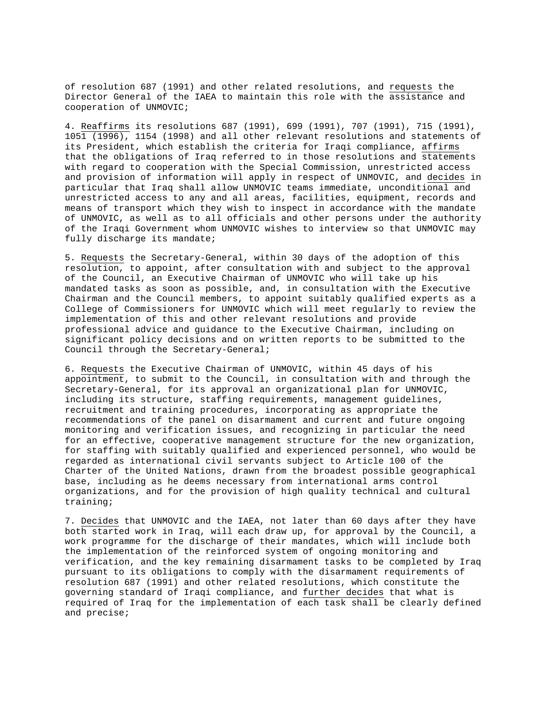of resolution 687 (1991) and other related resolutions, and requests the Director General of the IAEA to maintain this role with the assistance and cooperation of UNMOVIC;

4. Reaffirms its resolutions 687 (1991), 699 (1991), 707 (1991), 715 (1991), 1051 (1996), 1154 (1998) and all other relevant resolutions and statements of its President, which establish the criteria for Iraqi compliance, affirms that the obligations of Iraq referred to in those resolutions and statements with regard to cooperation with the Special Commission, unrestricted access and provision of information will apply in respect of UNMOVIC, and decides in particular that Iraq shall allow UNMOVIC teams immediate, unconditional and unrestricted access to any and all areas, facilities, equipment, records and means of transport which they wish to inspect in accordance with the mandate of UNMOVIC, as well as to all officials and other persons under the authority of the Iraqi Government whom UNMOVIC wishes to interview so that UNMOVIC may fully discharge its mandate;

5. Requests the Secretary-General, within 30 days of the adoption of this resolution, to appoint, after consultation with and subject to the approval of the Council, an Executive Chairman of UNMOVIC who will take up his mandated tasks as soon as possible, and, in consultation with the Executive Chairman and the Council members, to appoint suitably qualified experts as a College of Commissioners for UNMOVIC which will meet regularly to review the implementation of this and other relevant resolutions and provide professional advice and guidance to the Executive Chairman, including on significant policy decisions and on written reports to be submitted to the Council through the Secretary-General;

6. Requests the Executive Chairman of UNMOVIC, within 45 days of his appointment, to submit to the Council, in consultation with and through the Secretary-General, for its approval an organizational plan for UNMOVIC, including its structure, staffing requirements, management guidelines, recruitment and training procedures, incorporating as appropriate the recommendations of the panel on disarmament and current and future ongoing monitoring and verification issues, and recognizing in particular the need for an effective, cooperative management structure for the new organization, for staffing with suitably qualified and experienced personnel, who would be regarded as international civil servants subject to Article 100 of the Charter of the United Nations, drawn from the broadest possible geographical base, including as he deems necessary from international arms control organizations, and for the provision of high quality technical and cultural training;

7. Decides that UNMOVIC and the IAEA, not later than 60 days after they have both started work in Iraq, will each draw up, for approval by the Council, a work programme for the discharge of their mandates, which will include both the implementation of the reinforced system of ongoing monitoring and verification, and the key remaining disarmament tasks to be completed by Iraq pursuant to its obligations to comply with the disarmament requirements of resolution 687 (1991) and other related resolutions, which constitute the governing standard of Iraqi compliance, and further decides that what is required of Iraq for the implementation of each task shall be clearly defined and precise;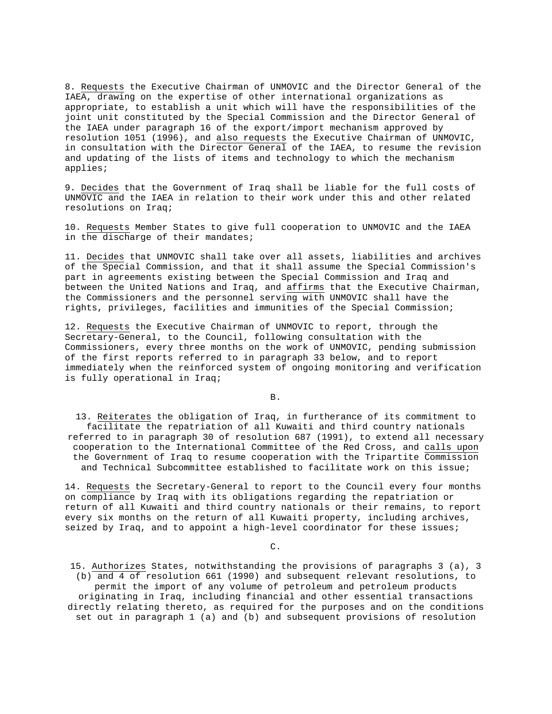8. Requests the Executive Chairman of UNMOVIC and the Director General of the IAEA, drawing on the expertise of other international organizations as appropriate, to establish a unit which will have the responsibilities of the joint unit constituted by the Special Commission and the Director General of the IAEA under paragraph 16 of the export/import mechanism approved by resolution 1051 (1996), and also requests the Executive Chairman of UNMOVIC, in consultation with the Director General of the IAEA, to resume the revision and updating of the lists of items and technology to which the mechanism applies;

9. Decides that the Government of Iraq shall be liable for the full costs of UNMOVIC and the IAEA in relation to their work under this and other related resolutions on Iraq;

10. Requests Member States to give full cooperation to UNMOVIC and the IAEA in the discharge of their mandates;

11. Decides that UNMOVIC shall take over all assets, liabilities and archives of the Special Commission, and that it shall assume the Special Commission's part in agreements existing between the Special Commission and Iraq and between the United Nations and Iraq, and affirms that the Executive Chairman, the Commissioners and the personnel serving with UNMOVIC shall have the rights, privileges, facilities and immunities of the Special Commission;

12. Requests the Executive Chairman of UNMOVIC to report, through the Secretary-General, to the Council, following consultation with the Commissioners, every three months on the work of UNMOVIC, pending submission of the first reports referred to in paragraph 33 below, and to report immediately when the reinforced system of ongoing monitoring and verification is fully operational in Iraq;

B.

13. Reiterates the obligation of Iraq, in furtherance of its commitment to facilitate the repatriation of all Kuwaiti and third country nationals referred to in paragraph 30 of resolution 687 (1991), to extend all necessary cooperation to the International Committee of the Red Cross, and calls upon the Government of Iraq to resume cooperation with the Tripartite Commission and Technical Subcommittee established to facilitate work on this issue;

14. Requests the Secretary-General to report to the Council every four months on compliance by Iraq with its obligations regarding the repatriation or return of all Kuwaiti and third country nationals or their remains, to report every six months on the return of all Kuwaiti property, including archives, seized by Iraq, and to appoint a high-level coordinator for these issues;

C.

15. Authorizes States, notwithstanding the provisions of paragraphs 3 (a), 3 (b) and 4 of resolution 661 (1990) and subsequent relevant resolutions, to permit the import of any volume of petroleum and petroleum products originating in Iraq, including financial and other essential transactions directly relating thereto, as required for the purposes and on the conditions set out in paragraph 1 (a) and (b) and subsequent provisions of resolution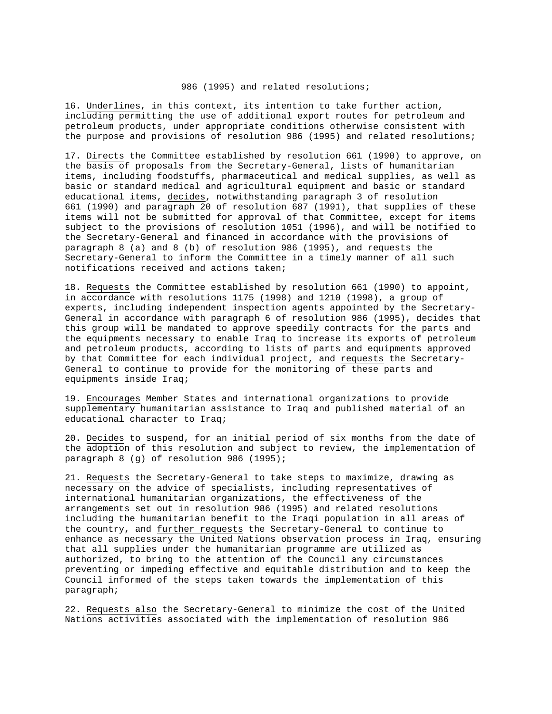## 986 (1995) and related resolutions;

16. Underlines, in this context, its intention to take further action, including permitting the use of additional export routes for petroleum and petroleum products, under appropriate conditions otherwise consistent with the purpose and provisions of resolution 986 (1995) and related resolutions;

17. Directs the Committee established by resolution 661 (1990) to approve, on the basis of proposals from the Secretary-General, lists of humanitarian items, including foodstuffs, pharmaceutical and medical supplies, as well as basic or standard medical and agricultural equipment and basic or standard educational items, decides, notwithstanding paragraph 3 of resolution 661 (1990) and paragraph 20 of resolution 687 (1991), that supplies of these items will not be submitted for approval of that Committee, except for items subject to the provisions of resolution 1051 (1996), and will be notified to the Secretary-General and financed in accordance with the provisions of paragraph 8 (a) and 8 (b) of resolution 986 (1995), and requests the Secretary-General to inform the Committee in a timely manner of all such notifications received and actions taken;

18. Requests the Committee established by resolution 661 (1990) to appoint, in accordance with resolutions 1175 (1998) and 1210 (1998), a group of experts, including independent inspection agents appointed by the Secretary-General in accordance with paragraph 6 of resolution 986 (1995), decides that this group will be mandated to approve speedily contracts for the parts and the equipments necessary to enable Iraq to increase its exports of petroleum and petroleum products, according to lists of parts and equipments approved by that Committee for each individual project, and requests the Secretary-General to continue to provide for the monitoring of these parts and equipments inside Iraq;

19. Encourages Member States and international organizations to provide supplementary humanitarian assistance to Iraq and published material of an educational character to Iraq;

20. Decides to suspend, for an initial period of six months from the date of the adoption of this resolution and subject to review, the implementation of paragraph 8 (g) of resolution 986 (1995);

21. Requests the Secretary-General to take steps to maximize, drawing as necessary on the advice of specialists, including representatives of international humanitarian organizations, the effectiveness of the arrangements set out in resolution 986 (1995) and related resolutions including the humanitarian benefit to the Iraqi population in all areas of the country, and further requests the Secretary-General to continue to enhance as necessary the United Nations observation process in Iraq, ensuring that all supplies under the humanitarian programme are utilized as authorized, to bring to the attention of the Council any circumstances preventing or impeding effective and equitable distribution and to keep the Council informed of the steps taken towards the implementation of this paragraph;

22. Requests also the Secretary-General to minimize the cost of the United Nations activities associated with the implementation of resolution 986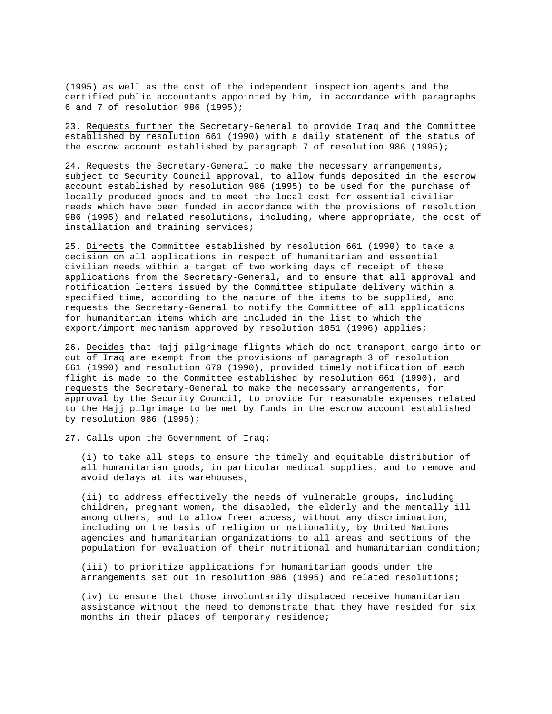(1995) as well as the cost of the independent inspection agents and the certified public accountants appointed by him, in accordance with paragraphs 6 and 7 of resolution 986 (1995);

23. Requests further the Secretary-General to provide Iraq and the Committee established by resolution 661 (1990) with a daily statement of the status of the escrow account established by paragraph 7 of resolution 986 (1995);

24. Requests the Secretary-General to make the necessary arrangements, subject to Security Council approval, to allow funds deposited in the escrow account established by resolution 986 (1995) to be used for the purchase of locally produced goods and to meet the local cost for essential civilian needs which have been funded in accordance with the provisions of resolution 986 (1995) and related resolutions, including, where appropriate, the cost of installation and training services;

25. Directs the Committee established by resolution 661 (1990) to take a decision on all applications in respect of humanitarian and essential civilian needs within a target of two working days of receipt of these applications from the Secretary-General, and to ensure that all approval and notification letters issued by the Committee stipulate delivery within a specified time, according to the nature of the items to be supplied, and requests the Secretary-General to notify the Committee of all applications for humanitarian items which are included in the list to which the export/import mechanism approved by resolution 1051 (1996) applies;

26. Decides that Hajj pilgrimage flights which do not transport cargo into or out of Iraq are exempt from the provisions of paragraph 3 of resolution 661 (1990) and resolution 670 (1990), provided timely notification of each flight is made to the Committee established by resolution 661 (1990), and requests the Secretary-General to make the necessary arrangements, for approval by the Security Council, to provide for reasonable expenses related to the Hajj pilgrimage to be met by funds in the escrow account established by resolution 986 (1995);

27. Calls upon the Government of Iraq:

(i) to take all steps to ensure the timely and equitable distribution of all humanitarian goods, in particular medical supplies, and to remove and avoid delays at its warehouses;

(ii) to address effectively the needs of vulnerable groups, including children, pregnant women, the disabled, the elderly and the mentally ill among others, and to allow freer access, without any discrimination, including on the basis of religion or nationality, by United Nations agencies and humanitarian organizations to all areas and sections of the population for evaluation of their nutritional and humanitarian condition;

(iii) to prioritize applications for humanitarian goods under the arrangements set out in resolution 986 (1995) and related resolutions;

(iv) to ensure that those involuntarily displaced receive humanitarian assistance without the need to demonstrate that they have resided for six months in their places of temporary residence;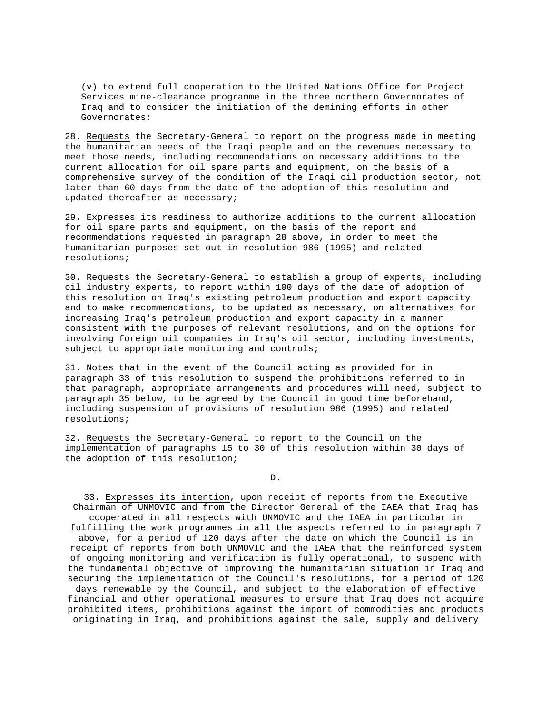(v) to extend full cooperation to the United Nations Office for Project Services mine-clearance programme in the three northern Governorates of Iraq and to consider the initiation of the demining efforts in other Governorates;

28. Requests the Secretary-General to report on the progress made in meeting the humanitarian needs of the Iraqi people and on the revenues necessary to meet those needs, including recommendations on necessary additions to the current allocation for oil spare parts and equipment, on the basis of a comprehensive survey of the condition of the Iraqi oil production sector, not later than 60 days from the date of the adoption of this resolution and updated thereafter as necessary;

29. Expresses its readiness to authorize additions to the current allocation for oil spare parts and equipment, on the basis of the report and recommendations requested in paragraph 28 above, in order to meet the humanitarian purposes set out in resolution 986 (1995) and related resolutions;

30. Requests the Secretary-General to establish a group of experts, including oil industry experts, to report within 100 days of the date of adoption of this resolution on Iraq's existing petroleum production and export capacity and to make recommendations, to be updated as necessary, on alternatives for increasing Iraq's petroleum production and export capacity in a manner consistent with the purposes of relevant resolutions, and on the options for involving foreign oil companies in Iraq's oil sector, including investments, subject to appropriate monitoring and controls;

31. Notes that in the event of the Council acting as provided for in paragraph 33 of this resolution to suspend the prohibitions referred to in that paragraph, appropriate arrangements and procedures will need, subject to paragraph 35 below, to be agreed by the Council in good time beforehand, including suspension of provisions of resolution 986 (1995) and related resolutions;

32. Requests the Secretary-General to report to the Council on the implementation of paragraphs 15 to 30 of this resolution within 30 days of the adoption of this resolution;

D.

33. Expresses its intention, upon receipt of reports from the Executive Chairman of UNMOVIC and from the Director General of the IAEA that Iraq has cooperated in all respects with UNMOVIC and the IAEA in particular in fulfilling the work programmes in all the aspects referred to in paragraph 7 above, for a period of 120 days after the date on which the Council is in

receipt of reports from both UNMOVIC and the IAEA that the reinforced system of ongoing monitoring and verification is fully operational, to suspend with the fundamental objective of improving the humanitarian situation in Iraq and securing the implementation of the Council's resolutions, for a period of 120 days renewable by the Council, and subject to the elaboration of effective financial and other operational measures to ensure that Iraq does not acquire prohibited items, prohibitions against the import of commodities and products originating in Iraq, and prohibitions against the sale, supply and delivery